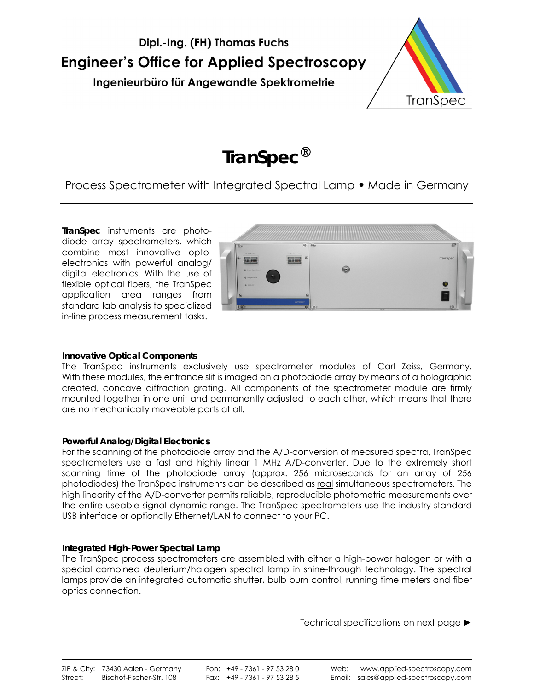



# **TranSpec**

# Process Spectrometer with Integrated Spectral Lamp **•** Made in Germany

**TranSpec** instruments are photodiode array spectrometers, which combine most innovative optoelectronics with powerful analog/ digital electronics. With the use of flexible optical fibers, the TranSpec application area ranges from standard lab analysis to specialized in-line process measurement tasks.



## **Innovative Optical Components**

The TranSpec instruments exclusively use spectrometer modules of Carl Zeiss, Germany. With these modules, the entrance slit is imaged on a photodiode array by means of a holographic created, concave diffraction grating. All components of the spectrometer module are firmly mounted together in one unit and permanently adjusted to each other, which means that there are no mechanically moveable parts at all.

# **Powerful Analog/Digital Electronics**

For the scanning of the photodiode array and the A/D-conversion of measured spectra, TranSpec spectrometers use a fast and highly linear 1 MHz A/D-converter. Due to the extremely short scanning time of the photodiode array (approx. 256 microseconds for an array of 256 photodiodes) the TranSpec instruments can be described as real simultaneous spectrometers. The high linearity of the A/D-converter permits reliable, reproducible photometric measurements over the entire useable signal dynamic range. The TranSpec spectrometers use the industry standard USB interface or optionally Ethernet/LAN to connect to your PC.

## **Integrated High-Power Spectral Lamp**

The TranSpec process spectrometers are assembled with either a high-power halogen or with a special combined deuterium/halogen spectral lamp in shine-through technology. The spectral lamps provide an integrated automatic shutter, bulb burn control, running time meters and fiber optics connection.

Technical specifications on next page ►